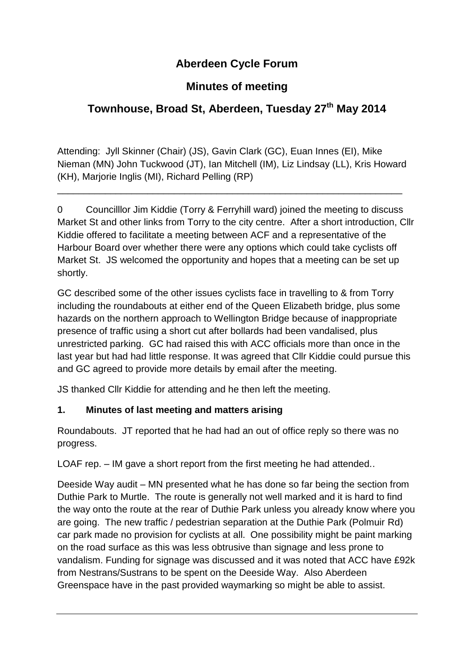# **Aberdeen Cycle Forum**

# **Minutes of meeting**

# **Townhouse, Broad St, Aberdeen, Tuesday 27 th May 2014**

Attending: Jyll Skinner (Chair) (JS), Gavin Clark (GC), Euan Innes (EI), Mike Nieman (MN) John Tuckwood (JT), Ian Mitchell (IM), Liz Lindsay (LL), Kris Howard (KH), Marjorie Inglis (MI), Richard Pelling (RP)

\_\_\_\_\_\_\_\_\_\_\_\_\_\_\_\_\_\_\_\_\_\_\_\_\_\_\_\_\_\_\_\_\_\_\_\_\_\_\_\_\_\_\_\_\_\_\_\_\_\_\_\_\_\_\_\_\_\_\_\_\_\_\_\_\_

0 Councilllor Jim Kiddie (Torry & Ferryhill ward) joined the meeting to discuss Market St and other links from Torry to the city centre. After a short introduction, Cllr Kiddie offered to facilitate a meeting between ACF and a representative of the Harbour Board over whether there were any options which could take cyclists off Market St. JS welcomed the opportunity and hopes that a meeting can be set up shortly.

GC described some of the other issues cyclists face in travelling to & from Torry including the roundabouts at either end of the Queen Elizabeth bridge, plus some hazards on the northern approach to Wellington Bridge because of inappropriate presence of traffic using a short cut after bollards had been vandalised, plus unrestricted parking. GC had raised this with ACC officials more than once in the last year but had had little response. It was agreed that Cllr Kiddie could pursue this and GC agreed to provide more details by email after the meeting.

JS thanked Cllr Kiddie for attending and he then left the meeting.

## **1. Minutes of last meeting and matters arising**

Roundabouts. JT reported that he had had an out of office reply so there was no progress.

LOAF rep. – IM gave a short report from the first meeting he had attended..

Deeside Way audit – MN presented what he has done so far being the section from Duthie Park to Murtle. The route is generally not well marked and it is hard to find the way onto the route at the rear of Duthie Park unless you already know where you are going. The new traffic / pedestrian separation at the Duthie Park (Polmuir Rd) car park made no provision for cyclists at all. One possibility might be paint marking on the road surface as this was less obtrusive than signage and less prone to vandalism. Funding for signage was discussed and it was noted that ACC have £92k from Nestrans/Sustrans to be spent on the Deeside Way. Also Aberdeen Greenspace have in the past provided waymarking so might be able to assist.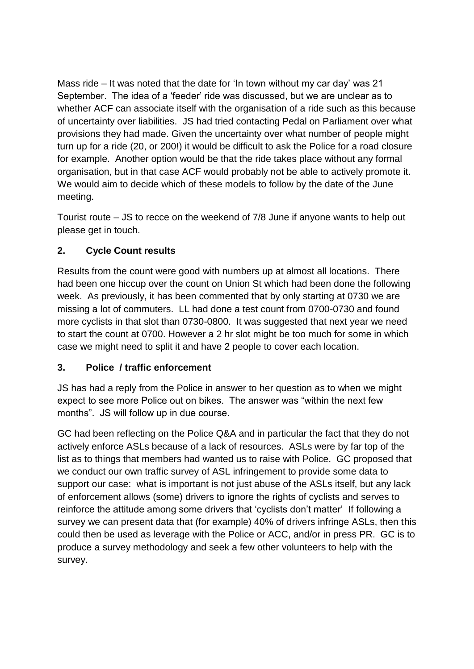Mass ride – It was noted that the date for 'In town without my car day' was 21 September. The idea of a 'feeder' ride was discussed, but we are unclear as to whether ACF can associate itself with the organisation of a ride such as this because of uncertainty over liabilities. JS had tried contacting Pedal on Parliament over what provisions they had made. Given the uncertainty over what number of people might turn up for a ride (20, or 200!) it would be difficult to ask the Police for a road closure for example. Another option would be that the ride takes place without any formal organisation, but in that case ACF would probably not be able to actively promote it. We would aim to decide which of these models to follow by the date of the June meeting.

Tourist route – JS to recce on the weekend of 7/8 June if anyone wants to help out please get in touch.

### **2. Cycle Count results**

Results from the count were good with numbers up at almost all locations. There had been one hiccup over the count on Union St which had been done the following week. As previously, it has been commented that by only starting at 0730 we are missing a lot of commuters. LL had done a test count from 0700-0730 and found more cyclists in that slot than 0730-0800. It was suggested that next year we need to start the count at 0700. However a 2 hr slot might be too much for some in which case we might need to split it and have 2 people to cover each location.

#### **3. Police / traffic enforcement**

JS has had a reply from the Police in answer to her question as to when we might expect to see more Police out on bikes. The answer was "within the next few months". JS will follow up in due course.

GC had been reflecting on the Police Q&A and in particular the fact that they do not actively enforce ASLs because of a lack of resources. ASLs were by far top of the list as to things that members had wanted us to raise with Police. GC proposed that we conduct our own traffic survey of ASL infringement to provide some data to support our case: what is important is not just abuse of the ASLs itself, but any lack of enforcement allows (some) drivers to ignore the rights of cyclists and serves to reinforce the attitude among some drivers that 'cyclists don't matter' If following a survey we can present data that (for example) 40% of drivers infringe ASLs, then this could then be used as leverage with the Police or ACC, and/or in press PR. GC is to produce a survey methodology and seek a few other volunteers to help with the survey.